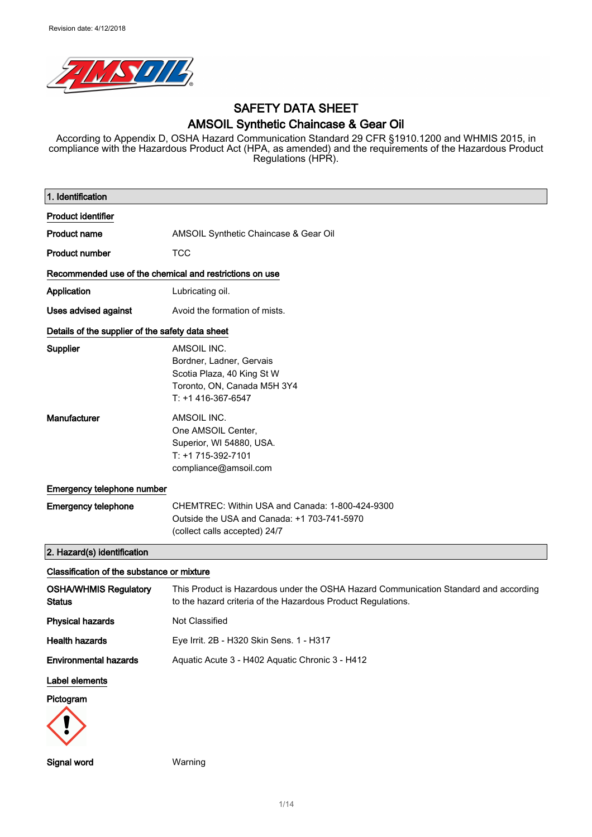

## SAFETY DATA SHEET AMSOIL Synthetic Chaincase & Gear Oil

According to Appendix D, OSHA Hazard Communication Standard 29 CFR §1910.1200 and WHMIS 2015, in compliance with the Hazardous Product Act (HPA, as amended) and the requirements of the Hazardous Product Regulations (HPR).

| 1. Identification                                       |                                                                                                                                                      |  |
|---------------------------------------------------------|------------------------------------------------------------------------------------------------------------------------------------------------------|--|
| <b>Product identifier</b>                               |                                                                                                                                                      |  |
| <b>Product name</b>                                     | AMSOIL Synthetic Chaincase & Gear Oil                                                                                                                |  |
| <b>Product number</b>                                   | <b>TCC</b>                                                                                                                                           |  |
| Recommended use of the chemical and restrictions on use |                                                                                                                                                      |  |
| Application                                             | Lubricating oil.                                                                                                                                     |  |
| <b>Uses advised against</b>                             | Avoid the formation of mists.                                                                                                                        |  |
| Details of the supplier of the safety data sheet        |                                                                                                                                                      |  |
| <b>Supplier</b>                                         | AMSOIL INC.<br>Bordner, Ladner, Gervais<br>Scotia Plaza, 40 King St W<br>Toronto, ON, Canada M5H 3Y4<br>T: +1 416-367-6547                           |  |
| Manufacturer                                            | AMSOIL INC.<br>One AMSOIL Center,<br>Superior, WI 54880, USA.<br>T: +1 715-392-7101<br>compliance@amsoil.com                                         |  |
| Emergency telephone number                              |                                                                                                                                                      |  |
| <b>Emergency telephone</b>                              | CHEMTREC: Within USA and Canada: 1-800-424-9300<br>Outside the USA and Canada: +1 703-741-5970<br>(collect calls accepted) 24/7                      |  |
| 2. Hazard(s) identification                             |                                                                                                                                                      |  |
| Classification of the substance or mixture              |                                                                                                                                                      |  |
| <b>OSHA/WHMIS Regulatory</b><br>Status                  | This Product is Hazardous under the OSHA Hazard Communication Standard and according<br>to the hazard criteria of the Hazardous Product Regulations. |  |
| <b>Physical hazards</b>                                 | Not Classified                                                                                                                                       |  |
| <b>Health hazards</b>                                   | Eye Irrit. 2B - H320 Skin Sens. 1 - H317                                                                                                             |  |
| <b>Environmental hazards</b>                            | Aquatic Acute 3 - H402 Aquatic Chronic 3 - H412                                                                                                      |  |
| Label elements                                          |                                                                                                                                                      |  |
| Pictogram                                               |                                                                                                                                                      |  |
| Signal word                                             | Warning                                                                                                                                              |  |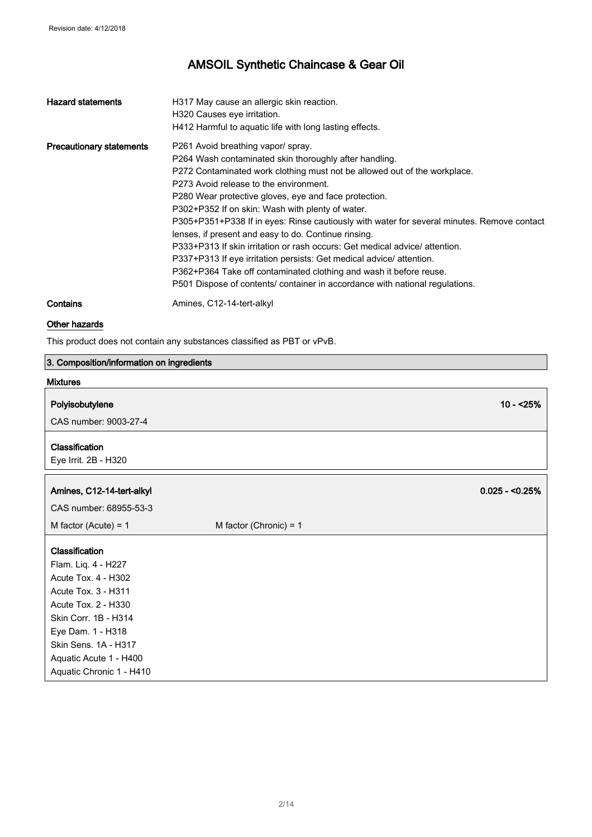| <b>Hazard statements</b>        | H317 May cause an allergic skin reaction.<br>H320 Causes eye irritation.<br>H412 Harmful to aquatic life with long lasting effects.                                                                                                                                                                                                                                                                                                                                                                                                                                                                                                                                                                                                                                                                 |
|---------------------------------|-----------------------------------------------------------------------------------------------------------------------------------------------------------------------------------------------------------------------------------------------------------------------------------------------------------------------------------------------------------------------------------------------------------------------------------------------------------------------------------------------------------------------------------------------------------------------------------------------------------------------------------------------------------------------------------------------------------------------------------------------------------------------------------------------------|
| <b>Precautionary statements</b> | P261 Avoid breathing vapor/ spray.<br>P264 Wash contaminated skin thoroughly after handling.<br>P272 Contaminated work clothing must not be allowed out of the workplace.<br>P273 Avoid release to the environment.<br>P280 Wear protective gloves, eye and face protection.<br>P302+P352 If on skin: Wash with plenty of water.<br>P305+P351+P338 If in eyes: Rinse cautiously with water for several minutes. Remove contact<br>lenses, if present and easy to do. Continue rinsing.<br>P333+P313 If skin irritation or rash occurs: Get medical advice/ attention.<br>P337+P313 If eye irritation persists: Get medical advice/ attention.<br>P362+P364 Take off contaminated clothing and wash it before reuse.<br>P501 Dispose of contents/ container in accordance with national regulations. |
| Contains                        | Amines, C12-14-tert-alkyl                                                                                                                                                                                                                                                                                                                                                                                                                                                                                                                                                                                                                                                                                                                                                                           |

#### Other hazards

This product does not contain any substances classified as PBT or vPvB.

### 3. Composition/information on ingredients

## Mixtures Polyisobutylene 10 - <25% CAS number: 9003-27-4 Classification Eye Irrit. 2B - H320 Amines, C12-14-tert-alkyl 0.025 - <0.25% CAS number: 68955-53-3  $M$  factor (Acute) = 1  $M$  factor (Chronic) = 1 Classification Flam. Liq. 4 - H227 Acute Tox. 4 - H302 Acute Tox. 3 - H311 Acute Tox. 2 - H330 Skin Corr. 1B - H314 Eye Dam. 1 - H318 Skin Sens. 1A - H317 Aquatic Acute 1 - H400 Aquatic Chronic 1 - H410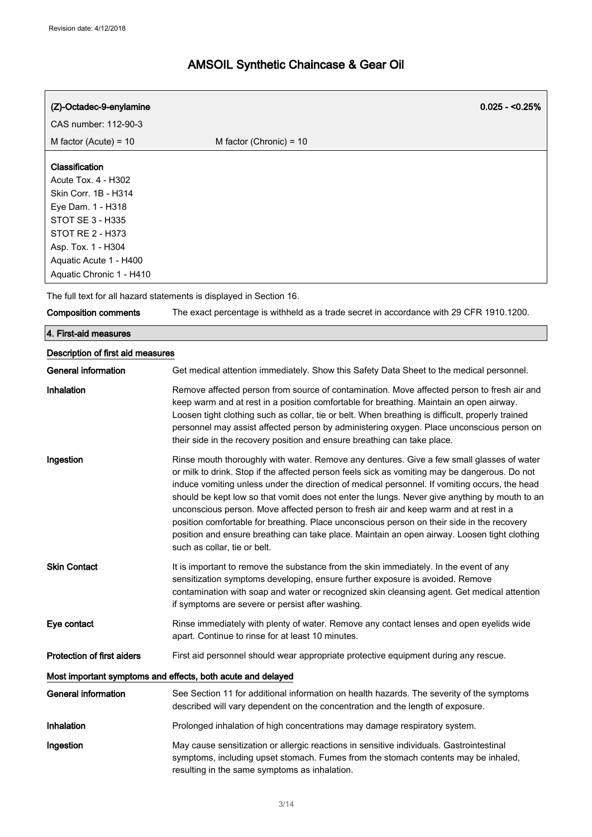| (Z)-Octadec-9-enylamine                                                                                                                                                                                              | $0.025 - 0.25%$                                                                                                                                                                                                                                                                                                                                                                                                                                                                                                                                                                                                                                                                                                    |
|----------------------------------------------------------------------------------------------------------------------------------------------------------------------------------------------------------------------|--------------------------------------------------------------------------------------------------------------------------------------------------------------------------------------------------------------------------------------------------------------------------------------------------------------------------------------------------------------------------------------------------------------------------------------------------------------------------------------------------------------------------------------------------------------------------------------------------------------------------------------------------------------------------------------------------------------------|
| CAS number: 112-90-3                                                                                                                                                                                                 |                                                                                                                                                                                                                                                                                                                                                                                                                                                                                                                                                                                                                                                                                                                    |
| M factor (Acute) = $10$                                                                                                                                                                                              | M factor (Chronic) = $10$                                                                                                                                                                                                                                                                                                                                                                                                                                                                                                                                                                                                                                                                                          |
| Classification<br>Acute Tox. 4 - H302<br>Skin Corr. 1B - H314<br>Eye Dam. 1 - H318<br><b>STOT SE 3 - H335</b><br><b>STOT RE 2 - H373</b><br>Asp. Tox. 1 - H304<br>Aquatic Acute 1 - H400<br>Aquatic Chronic 1 - H410 |                                                                                                                                                                                                                                                                                                                                                                                                                                                                                                                                                                                                                                                                                                                    |
|                                                                                                                                                                                                                      | The full text for all hazard statements is displayed in Section 16.                                                                                                                                                                                                                                                                                                                                                                                                                                                                                                                                                                                                                                                |
| <b>Composition comments</b>                                                                                                                                                                                          | The exact percentage is withheld as a trade secret in accordance with 29 CFR 1910.1200.                                                                                                                                                                                                                                                                                                                                                                                                                                                                                                                                                                                                                            |
|                                                                                                                                                                                                                      |                                                                                                                                                                                                                                                                                                                                                                                                                                                                                                                                                                                                                                                                                                                    |
| 4. First-aid measures                                                                                                                                                                                                |                                                                                                                                                                                                                                                                                                                                                                                                                                                                                                                                                                                                                                                                                                                    |
| Description of first aid measures                                                                                                                                                                                    |                                                                                                                                                                                                                                                                                                                                                                                                                                                                                                                                                                                                                                                                                                                    |
| General information                                                                                                                                                                                                  | Get medical attention immediately. Show this Safety Data Sheet to the medical personnel.                                                                                                                                                                                                                                                                                                                                                                                                                                                                                                                                                                                                                           |
| Inhalation                                                                                                                                                                                                           | Remove affected person from source of contamination. Move affected person to fresh air and<br>keep warm and at rest in a position comfortable for breathing. Maintain an open airway.<br>Loosen tight clothing such as collar, tie or belt. When breathing is difficult, properly trained<br>personnel may assist affected person by administering oxygen. Place unconscious person on<br>their side in the recovery position and ensure breathing can take place.                                                                                                                                                                                                                                                 |
| Ingestion                                                                                                                                                                                                            | Rinse mouth thoroughly with water. Remove any dentures. Give a few small glasses of water<br>or milk to drink. Stop if the affected person feels sick as vomiting may be dangerous. Do not<br>induce vomiting unless under the direction of medical personnel. If vomiting occurs, the head<br>should be kept low so that vomit does not enter the lungs. Never give anything by mouth to an<br>unconscious person. Move affected person to fresh air and keep warm and at rest in a<br>position comfortable for breathing. Place unconscious person on their side in the recovery<br>position and ensure breathing can take place. Maintain an open airway. Loosen tight clothing<br>such as collar, tie or belt. |
| <b>Skin Contact</b>                                                                                                                                                                                                  | It is important to remove the substance from the skin immediately. In the event of any<br>sensitization symptoms developing, ensure further exposure is avoided. Remove<br>contamination with soap and water or recognized skin cleansing agent. Get medical attention<br>if symptoms are severe or persist after washing.                                                                                                                                                                                                                                                                                                                                                                                         |
| Eye contact                                                                                                                                                                                                          | Rinse immediately with plenty of water. Remove any contact lenses and open eyelids wide<br>apart. Continue to rinse for at least 10 minutes.                                                                                                                                                                                                                                                                                                                                                                                                                                                                                                                                                                       |
| Protection of first aiders                                                                                                                                                                                           | First aid personnel should wear appropriate protective equipment during any rescue.                                                                                                                                                                                                                                                                                                                                                                                                                                                                                                                                                                                                                                |
|                                                                                                                                                                                                                      | Most important symptoms and effects, both acute and delayed                                                                                                                                                                                                                                                                                                                                                                                                                                                                                                                                                                                                                                                        |
| <b>General information</b>                                                                                                                                                                                           | See Section 11 for additional information on health hazards. The severity of the symptoms<br>described will vary dependent on the concentration and the length of exposure.                                                                                                                                                                                                                                                                                                                                                                                                                                                                                                                                        |
| Inhalation                                                                                                                                                                                                           | Prolonged inhalation of high concentrations may damage respiratory system.                                                                                                                                                                                                                                                                                                                                                                                                                                                                                                                                                                                                                                         |
| Ingestion                                                                                                                                                                                                            | May cause sensitization or allergic reactions in sensitive individuals. Gastrointestinal<br>symptoms, including upset stomach. Fumes from the stomach contents may be inhaled,<br>resulting in the same symptoms as inhalation.                                                                                                                                                                                                                                                                                                                                                                                                                                                                                    |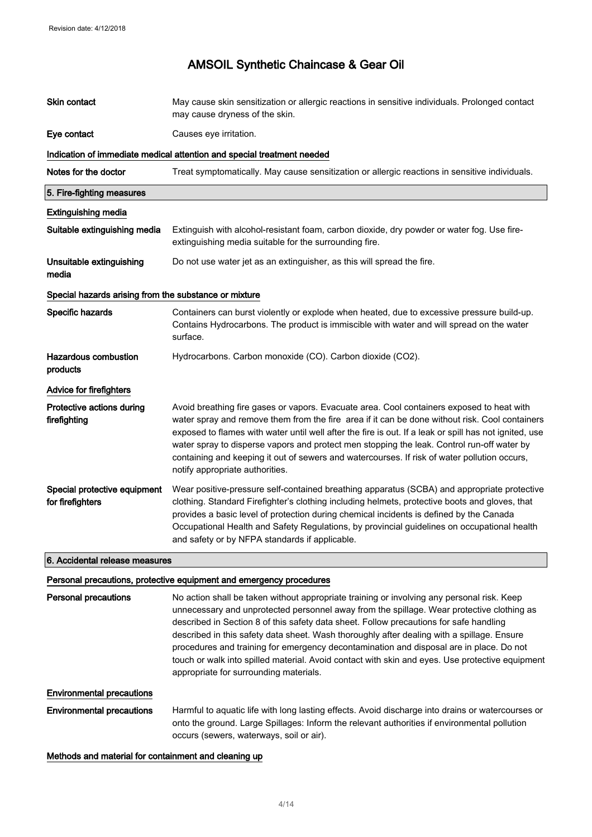| Skin contact                                          | May cause skin sensitization or allergic reactions in sensitive individuals. Prolonged contact<br>may cause dryness of the skin.                                                                                                                                                                                                                                                                                                                                                                                                       |  |
|-------------------------------------------------------|----------------------------------------------------------------------------------------------------------------------------------------------------------------------------------------------------------------------------------------------------------------------------------------------------------------------------------------------------------------------------------------------------------------------------------------------------------------------------------------------------------------------------------------|--|
| Eye contact                                           | Causes eye irritation.                                                                                                                                                                                                                                                                                                                                                                                                                                                                                                                 |  |
|                                                       | Indication of immediate medical attention and special treatment needed                                                                                                                                                                                                                                                                                                                                                                                                                                                                 |  |
| Notes for the doctor                                  | Treat symptomatically. May cause sensitization or allergic reactions in sensitive individuals.                                                                                                                                                                                                                                                                                                                                                                                                                                         |  |
| 5. Fire-fighting measures                             |                                                                                                                                                                                                                                                                                                                                                                                                                                                                                                                                        |  |
| <b>Extinguishing media</b>                            |                                                                                                                                                                                                                                                                                                                                                                                                                                                                                                                                        |  |
| Suitable extinguishing media                          | Extinguish with alcohol-resistant foam, carbon dioxide, dry powder or water fog. Use fire-<br>extinguishing media suitable for the surrounding fire.                                                                                                                                                                                                                                                                                                                                                                                   |  |
| Unsuitable extinguishing<br>media                     | Do not use water jet as an extinguisher, as this will spread the fire.                                                                                                                                                                                                                                                                                                                                                                                                                                                                 |  |
| Special hazards arising from the substance or mixture |                                                                                                                                                                                                                                                                                                                                                                                                                                                                                                                                        |  |
| Specific hazards                                      | Containers can burst violently or explode when heated, due to excessive pressure build-up.<br>Contains Hydrocarbons. The product is immiscible with water and will spread on the water<br>surface.                                                                                                                                                                                                                                                                                                                                     |  |
| <b>Hazardous combustion</b><br>products               | Hydrocarbons. Carbon monoxide (CO). Carbon dioxide (CO2).                                                                                                                                                                                                                                                                                                                                                                                                                                                                              |  |
| Advice for firefighters                               |                                                                                                                                                                                                                                                                                                                                                                                                                                                                                                                                        |  |
| Protective actions during<br>firefighting             | Avoid breathing fire gases or vapors. Evacuate area. Cool containers exposed to heat with<br>water spray and remove them from the fire area if it can be done without risk. Cool containers<br>exposed to flames with water until well after the fire is out. If a leak or spill has not ignited, use<br>water spray to disperse vapors and protect men stopping the leak. Control run-off water by<br>containing and keeping it out of sewers and watercourses. If risk of water pollution occurs,<br>notify appropriate authorities. |  |
| Special protective equipment<br>for firefighters      | Wear positive-pressure self-contained breathing apparatus (SCBA) and appropriate protective<br>clothing. Standard Firefighter's clothing including helmets, protective boots and gloves, that<br>provides a basic level of protection during chemical incidents is defined by the Canada<br>Occupational Health and Safety Regulations, by provincial guidelines on occupational health<br>and safety or by NFPA standards if applicable.                                                                                              |  |
| 6. Accidental release measures                        |                                                                                                                                                                                                                                                                                                                                                                                                                                                                                                                                        |  |
|                                                       | Personal precautions, protective equipment and emergency procedures                                                                                                                                                                                                                                                                                                                                                                                                                                                                    |  |

Personal precautions No action shall be taken without appropriate training or involving any personal risk. Keep unnecessary and unprotected personnel away from the spillage. Wear protective clothing as described in Section 8 of this safety data sheet. Follow precautions for safe handling described in this safety data sheet. Wash thoroughly after dealing with a spillage. Ensure procedures and training for emergency decontamination and disposal are in place. Do not touch or walk into spilled material. Avoid contact with skin and eyes. Use protective equipment appropriate for surrounding materials.

#### Environmental precautions

Environmental precautions Harmful to aquatic life with long lasting effects. Avoid discharge into drains or watercourses or onto the ground. Large Spillages: Inform the relevant authorities if environmental pollution occurs (sewers, waterways, soil or air).

Methods and material for containment and cleaning up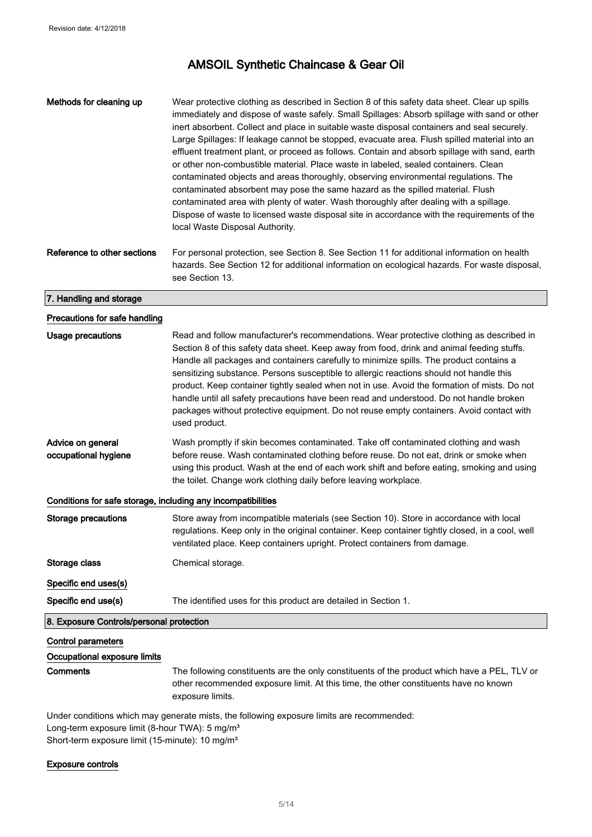| Methods for cleaning up                                                      | Wear protective clothing as described in Section 8 of this safety data sheet. Clear up spills<br>immediately and dispose of waste safely. Small Spillages: Absorb spillage with sand or other<br>inert absorbent. Collect and place in suitable waste disposal containers and seal securely.<br>Large Spillages: If leakage cannot be stopped, evacuate area. Flush spilled material into an<br>effluent treatment plant, or proceed as follows. Contain and absorb spillage with sand, earth<br>or other non-combustible material. Place waste in labeled, sealed containers. Clean<br>contaminated objects and areas thoroughly, observing environmental regulations. The<br>contaminated absorbent may pose the same hazard as the spilled material. Flush<br>contaminated area with plenty of water. Wash thoroughly after dealing with a spillage.<br>Dispose of waste to licensed waste disposal site in accordance with the requirements of the<br>local Waste Disposal Authority. |  |
|------------------------------------------------------------------------------|-------------------------------------------------------------------------------------------------------------------------------------------------------------------------------------------------------------------------------------------------------------------------------------------------------------------------------------------------------------------------------------------------------------------------------------------------------------------------------------------------------------------------------------------------------------------------------------------------------------------------------------------------------------------------------------------------------------------------------------------------------------------------------------------------------------------------------------------------------------------------------------------------------------------------------------------------------------------------------------------|--|
| Reference to other sections                                                  | For personal protection, see Section 8. See Section 11 for additional information on health<br>hazards. See Section 12 for additional information on ecological hazards. For waste disposal,<br>see Section 13.                                                                                                                                                                                                                                                                                                                                                                                                                                                                                                                                                                                                                                                                                                                                                                           |  |
| 7. Handling and storage                                                      |                                                                                                                                                                                                                                                                                                                                                                                                                                                                                                                                                                                                                                                                                                                                                                                                                                                                                                                                                                                           |  |
| Precautions for safe handling                                                |                                                                                                                                                                                                                                                                                                                                                                                                                                                                                                                                                                                                                                                                                                                                                                                                                                                                                                                                                                                           |  |
| <b>Usage precautions</b>                                                     | Read and follow manufacturer's recommendations. Wear protective clothing as described in<br>Section 8 of this safety data sheet. Keep away from food, drink and animal feeding stuffs.<br>Handle all packages and containers carefully to minimize spills. The product contains a<br>sensitizing substance. Persons susceptible to allergic reactions should not handle this<br>product. Keep container tightly sealed when not in use. Avoid the formation of mists. Do not<br>handle until all safety precautions have been read and understood. Do not handle broken<br>packages without protective equipment. Do not reuse empty containers. Avoid contact with<br>used product.                                                                                                                                                                                                                                                                                                      |  |
| Advice on general<br>occupational hygiene                                    | Wash promptly if skin becomes contaminated. Take off contaminated clothing and wash<br>before reuse. Wash contaminated clothing before reuse. Do not eat, drink or smoke when<br>using this product. Wash at the end of each work shift and before eating, smoking and using<br>the toilet. Change work clothing daily before leaving workplace.                                                                                                                                                                                                                                                                                                                                                                                                                                                                                                                                                                                                                                          |  |
| Conditions for safe storage, including any incompatibilities                 |                                                                                                                                                                                                                                                                                                                                                                                                                                                                                                                                                                                                                                                                                                                                                                                                                                                                                                                                                                                           |  |
| <b>Storage precautions</b>                                                   | Store away from incompatible materials (see Section 10). Store in accordance with local<br>regulations. Keep only in the original container. Keep container tightly closed, in a cool, well<br>ventilated place. Keep containers upright. Protect containers from damage.                                                                                                                                                                                                                                                                                                                                                                                                                                                                                                                                                                                                                                                                                                                 |  |
| Storage class                                                                | Chemical storage.                                                                                                                                                                                                                                                                                                                                                                                                                                                                                                                                                                                                                                                                                                                                                                                                                                                                                                                                                                         |  |
| Specific end uses(s)                                                         |                                                                                                                                                                                                                                                                                                                                                                                                                                                                                                                                                                                                                                                                                                                                                                                                                                                                                                                                                                                           |  |
| Specific end use(s)                                                          | The identified uses for this product are detailed in Section 1.                                                                                                                                                                                                                                                                                                                                                                                                                                                                                                                                                                                                                                                                                                                                                                                                                                                                                                                           |  |
| 8. Exposure Controls/personal protection                                     |                                                                                                                                                                                                                                                                                                                                                                                                                                                                                                                                                                                                                                                                                                                                                                                                                                                                                                                                                                                           |  |
| <b>Control parameters</b><br>Occupational exposure limits<br><b>Comments</b> | The following constituents are the only constituents of the product which have a PEL, TLV or<br>other recommended exposure limit. At this time, the other constituents have no known<br>exposure limits.                                                                                                                                                                                                                                                                                                                                                                                                                                                                                                                                                                                                                                                                                                                                                                                  |  |

Under conditions which may generate mists, the following exposure limits are recommended: Long-term exposure limit (8-hour TWA): 5 mg/m<sup>3</sup> Short-term exposure limit (15-minute): 10 mg/m<sup>3</sup>

### Exposure controls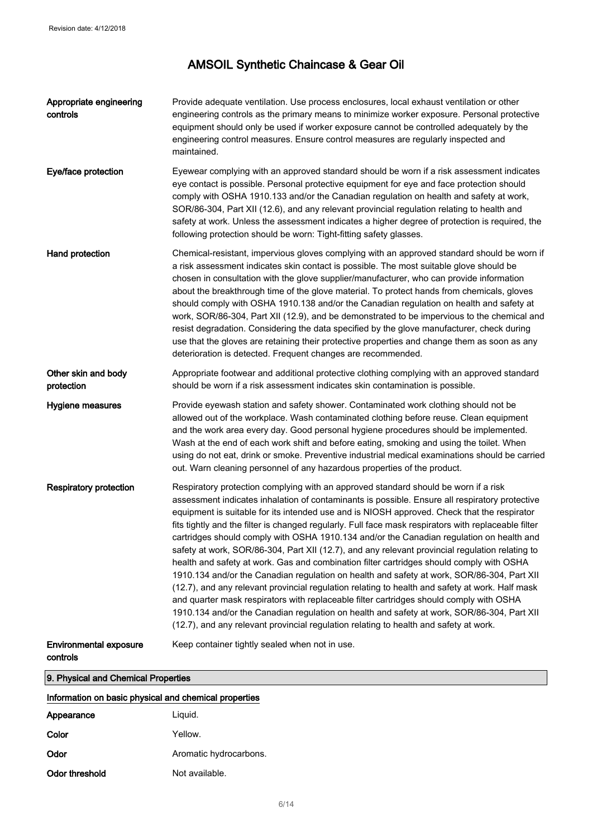| Appropriate engineering<br>controls       | Provide adequate ventilation. Use process enclosures, local exhaust ventilation or other<br>engineering controls as the primary means to minimize worker exposure. Personal protective<br>equipment should only be used if worker exposure cannot be controlled adequately by the<br>engineering control measures. Ensure control measures are regularly inspected and<br>maintained.                                                                                                                                                                                                                                                                                                                                                                                                                                                                                                                                                                                                                                                                                                                                                                                      |
|-------------------------------------------|----------------------------------------------------------------------------------------------------------------------------------------------------------------------------------------------------------------------------------------------------------------------------------------------------------------------------------------------------------------------------------------------------------------------------------------------------------------------------------------------------------------------------------------------------------------------------------------------------------------------------------------------------------------------------------------------------------------------------------------------------------------------------------------------------------------------------------------------------------------------------------------------------------------------------------------------------------------------------------------------------------------------------------------------------------------------------------------------------------------------------------------------------------------------------|
| Eye/face protection                       | Eyewear complying with an approved standard should be worn if a risk assessment indicates<br>eye contact is possible. Personal protective equipment for eye and face protection should<br>comply with OSHA 1910.133 and/or the Canadian regulation on health and safety at work,<br>SOR/86-304, Part XII (12.6), and any relevant provincial regulation relating to health and<br>safety at work. Unless the assessment indicates a higher degree of protection is required, the<br>following protection should be worn: Tight-fitting safety glasses.                                                                                                                                                                                                                                                                                                                                                                                                                                                                                                                                                                                                                     |
| Hand protection                           | Chemical-resistant, impervious gloves complying with an approved standard should be worn if<br>a risk assessment indicates skin contact is possible. The most suitable glove should be<br>chosen in consultation with the glove supplier/manufacturer, who can provide information<br>about the breakthrough time of the glove material. To protect hands from chemicals, gloves<br>should comply with OSHA 1910.138 and/or the Canadian regulation on health and safety at<br>work, SOR/86-304, Part XII (12.9), and be demonstrated to be impervious to the chemical and<br>resist degradation. Considering the data specified by the glove manufacturer, check during<br>use that the gloves are retaining their protective properties and change them as soon as any<br>deterioration is detected. Frequent changes are recommended.                                                                                                                                                                                                                                                                                                                                   |
| Other skin and body<br>protection         | Appropriate footwear and additional protective clothing complying with an approved standard<br>should be worn if a risk assessment indicates skin contamination is possible.                                                                                                                                                                                                                                                                                                                                                                                                                                                                                                                                                                                                                                                                                                                                                                                                                                                                                                                                                                                               |
| Hygiene measures                          | Provide eyewash station and safety shower. Contaminated work clothing should not be<br>allowed out of the workplace. Wash contaminated clothing before reuse. Clean equipment<br>and the work area every day. Good personal hygiene procedures should be implemented.<br>Wash at the end of each work shift and before eating, smoking and using the toilet. When<br>using do not eat, drink or smoke. Preventive industrial medical examinations should be carried<br>out. Warn cleaning personnel of any hazardous properties of the product.                                                                                                                                                                                                                                                                                                                                                                                                                                                                                                                                                                                                                            |
| <b>Respiratory protection</b>             | Respiratory protection complying with an approved standard should be worn if a risk<br>assessment indicates inhalation of contaminants is possible. Ensure all respiratory protective<br>equipment is suitable for its intended use and is NIOSH approved. Check that the respirator<br>fits tightly and the filter is changed regularly. Full face mask respirators with replaceable filter<br>cartridges should comply with OSHA 1910.134 and/or the Canadian regulation on health and<br>safety at work, SOR/86-304, Part XII (12.7), and any relevant provincial regulation relating to<br>health and safety at work. Gas and combination filter cartridges should comply with OSHA<br>1910.134 and/or the Canadian regulation on health and safety at work, SOR/86-304, Part XII<br>(12.7), and any relevant provincial regulation relating to health and safety at work. Half mask<br>and quarter mask respirators with replaceable filter cartridges should comply with OSHA<br>1910.134 and/or the Canadian regulation on health and safety at work, SOR/86-304, Part XII<br>(12.7), and any relevant provincial regulation relating to health and safety at work. |
| <b>Environmental exposure</b><br>controls | Keep container tightly sealed when not in use.                                                                                                                                                                                                                                                                                                                                                                                                                                                                                                                                                                                                                                                                                                                                                                                                                                                                                                                                                                                                                                                                                                                             |
|                                           |                                                                                                                                                                                                                                                                                                                                                                                                                                                                                                                                                                                                                                                                                                                                                                                                                                                                                                                                                                                                                                                                                                                                                                            |

9. Physical and Chemical Properties

| Information on basic physical and chemical properties |  |  |
|-------------------------------------------------------|--|--|
|                                                       |  |  |

| Appearance     | Liguid.                |
|----------------|------------------------|
| Color          | Yellow.                |
| Odor           | Aromatic hydrocarbons. |
| Odor threshold | Not available.         |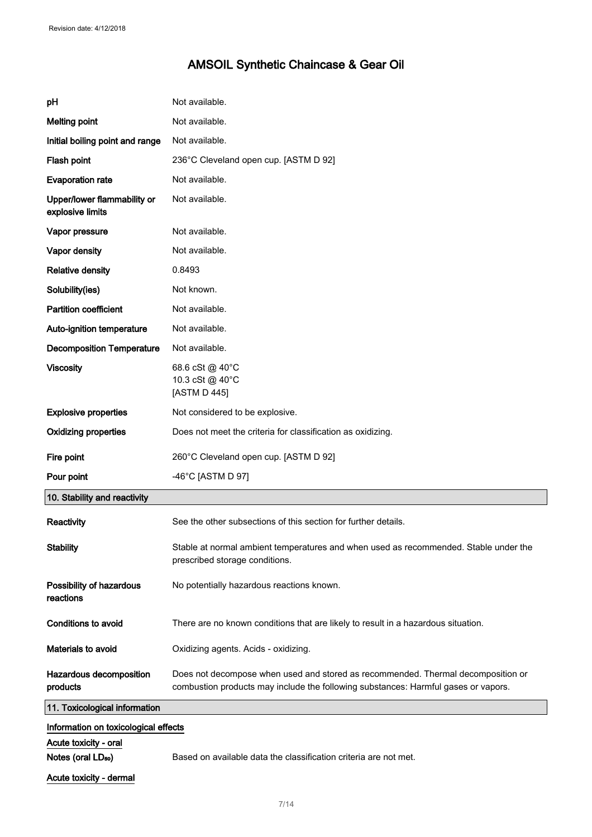| рH                                                      | Not available.                                                                                                                                                         |  |
|---------------------------------------------------------|------------------------------------------------------------------------------------------------------------------------------------------------------------------------|--|
| <b>Melting point</b>                                    | Not available.                                                                                                                                                         |  |
| Initial boiling point and range                         | Not available.                                                                                                                                                         |  |
| Flash point                                             | 236°C Cleveland open cup. [ASTM D 92]                                                                                                                                  |  |
| <b>Evaporation rate</b>                                 | Not available.                                                                                                                                                         |  |
| Upper/lower flammability or<br>explosive limits         | Not available.                                                                                                                                                         |  |
| Vapor pressure                                          | Not available.                                                                                                                                                         |  |
| Vapor density                                           | Not available.                                                                                                                                                         |  |
| <b>Relative density</b>                                 | 0.8493                                                                                                                                                                 |  |
| Solubility(ies)                                         | Not known.                                                                                                                                                             |  |
| <b>Partition coefficient</b>                            | Not available.                                                                                                                                                         |  |
| Auto-ignition temperature                               | Not available.                                                                                                                                                         |  |
| <b>Decomposition Temperature</b>                        | Not available.                                                                                                                                                         |  |
| <b>Viscosity</b>                                        | 68.6 cSt @ 40°C<br>10.3 cSt @ 40°C<br>[ASTM D 445]                                                                                                                     |  |
| <b>Explosive properties</b>                             | Not considered to be explosive.                                                                                                                                        |  |
| <b>Oxidizing properties</b>                             | Does not meet the criteria for classification as oxidizing.                                                                                                            |  |
| Fire point                                              | 260°C Cleveland open cup. [ASTM D 92]                                                                                                                                  |  |
| Pour point                                              | -46°C [ASTM D 97]                                                                                                                                                      |  |
| 10. Stability and reactivity                            |                                                                                                                                                                        |  |
| Reactivity                                              | See the other subsections of this section for further details.                                                                                                         |  |
| <b>Stability</b>                                        | Stable at normal ambient temperatures and when used as recommended. Stable under the<br>prescribed storage conditions.                                                 |  |
| Possibility of hazardous<br>reactions                   | No potentially hazardous reactions known.                                                                                                                              |  |
| <b>Conditions to avoid</b>                              | There are no known conditions that are likely to result in a hazardous situation.                                                                                      |  |
| <b>Materials to avoid</b>                               | Oxidizing agents. Acids - oxidizing.                                                                                                                                   |  |
| Hazardous decomposition<br>products                     | Does not decompose when used and stored as recommended. Thermal decomposition or<br>combustion products may include the following substances: Harmful gases or vapors. |  |
| 11. Toxicological information                           |                                                                                                                                                                        |  |
| Information on toxicological effects                    |                                                                                                                                                                        |  |
| Acute toxicity - oral<br>Notes (oral LD <sub>50</sub> ) | Based on available data the classification criteria are not met.                                                                                                       |  |
| Acute toxicity - dermal                                 |                                                                                                                                                                        |  |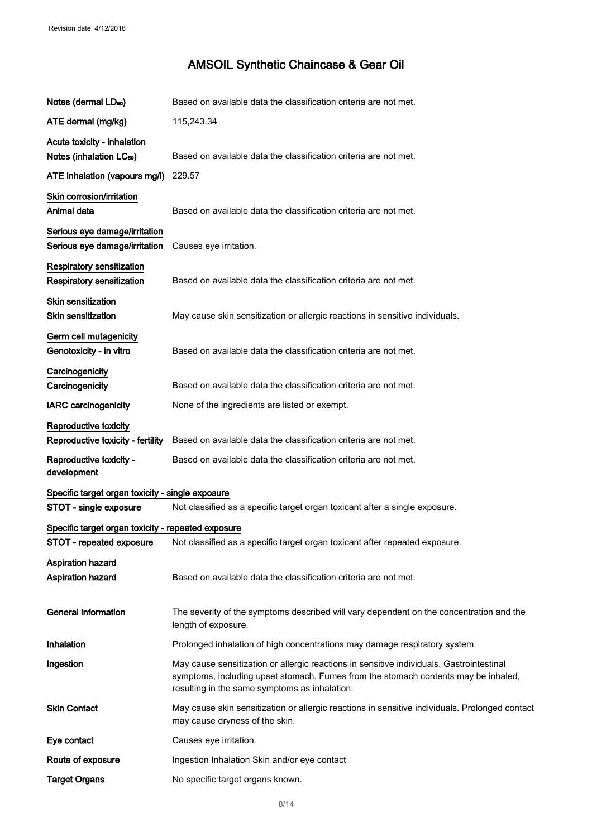| Notes (dermal LD <sub>50</sub> )                                    | Based on available data the classification criteria are not met.                                                                                                                                                                |
|---------------------------------------------------------------------|---------------------------------------------------------------------------------------------------------------------------------------------------------------------------------------------------------------------------------|
| ATE dermal (mg/kg)                                                  | 115,243.34                                                                                                                                                                                                                      |
| Acute toxicity - inhalation<br>Notes (inhalation LC <sub>50</sub> ) | Based on available data the classification criteria are not met.                                                                                                                                                                |
| ATE inhalation (vapours mg/l)                                       | 229.57                                                                                                                                                                                                                          |
| Skin corrosion/irritation<br>Animal data                            | Based on available data the classification criteria are not met.                                                                                                                                                                |
| Serious eye damage/irritation<br>Serious eye damage/irritation      | Causes eye irritation.                                                                                                                                                                                                          |
| Respiratory sensitization<br>Respiratory sensitization              | Based on available data the classification criteria are not met.                                                                                                                                                                |
| Skin sensitization<br><b>Skin sensitization</b>                     | May cause skin sensitization or allergic reactions in sensitive individuals.                                                                                                                                                    |
| Germ cell mutagenicity<br>Genotoxicity - in vitro                   | Based on available data the classification criteria are not met.                                                                                                                                                                |
| Carcinogenicity<br>Carcinogenicity                                  | Based on available data the classification criteria are not met.                                                                                                                                                                |
| <b>IARC</b> carcinogenicity                                         | None of the ingredients are listed or exempt.                                                                                                                                                                                   |
| Reproductive toxicity<br>Reproductive toxicity - fertility          | Based on available data the classification criteria are not met.                                                                                                                                                                |
| Reproductive toxicity -<br>development                              | Based on available data the classification criteria are not met.                                                                                                                                                                |
| Specific target organ toxicity - single exposure                    |                                                                                                                                                                                                                                 |
| STOT - single exposure                                              | Not classified as a specific target organ toxicant after a single exposure.                                                                                                                                                     |
| Specific target organ toxicity - repeated exposure                  |                                                                                                                                                                                                                                 |
| STOT - repeated exposure                                            | Not classified as a specific target organ toxicant after repeated exposure.                                                                                                                                                     |
| <b>Aspiration hazard</b><br>Aspiration hazard                       | Based on available data the classification criteria are not met.                                                                                                                                                                |
| <b>General information</b>                                          | The severity of the symptoms described will vary dependent on the concentration and the<br>length of exposure.                                                                                                                  |
| Inhalation                                                          | Prolonged inhalation of high concentrations may damage respiratory system.                                                                                                                                                      |
| Ingestion                                                           | May cause sensitization or allergic reactions in sensitive individuals. Gastrointestinal<br>symptoms, including upset stomach. Fumes from the stomach contents may be inhaled,<br>resulting in the same symptoms as inhalation. |
| <b>Skin Contact</b>                                                 | May cause skin sensitization or allergic reactions in sensitive individuals. Prolonged contact<br>may cause dryness of the skin.                                                                                                |
| Eye contact                                                         | Causes eye irritation.                                                                                                                                                                                                          |
| Route of exposure                                                   | Ingestion Inhalation Skin and/or eye contact                                                                                                                                                                                    |
| <b>Target Organs</b>                                                | No specific target organs known.                                                                                                                                                                                                |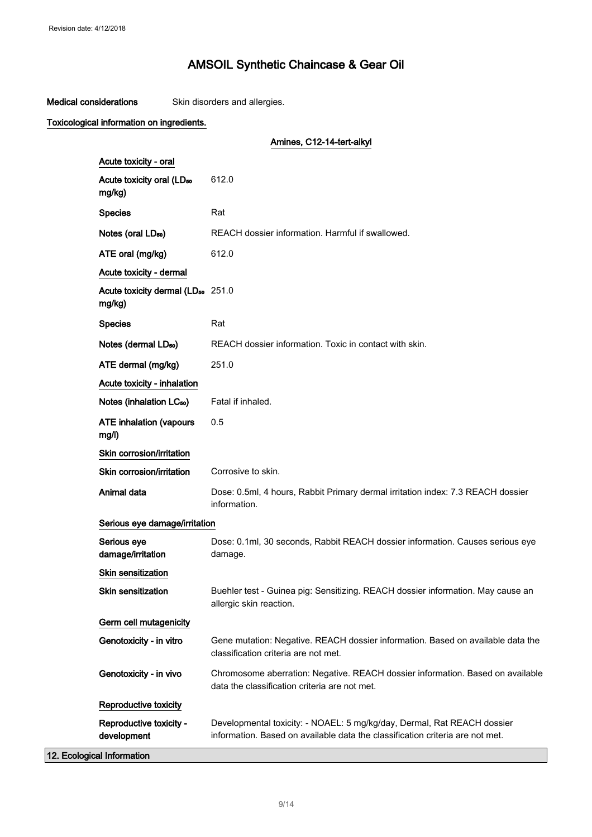Medical considerations Skin disorders and allergies.

## Toxicological information on ingredients.

|                                                         | Amines, C12-14-tert-alkyl                                                                                                                                |
|---------------------------------------------------------|----------------------------------------------------------------------------------------------------------------------------------------------------------|
| Acute toxicity - oral                                   |                                                                                                                                                          |
| Acute toxicity oral (LD <sub>50</sub><br>mg/kg)         | 612.0                                                                                                                                                    |
| <b>Species</b>                                          | Rat                                                                                                                                                      |
| Notes (oral LD <sub>50</sub> )                          | REACH dossier information. Harmful if swallowed.                                                                                                         |
| ATE oral (mg/kg)                                        | 612.0                                                                                                                                                    |
| Acute toxicity - dermal                                 |                                                                                                                                                          |
| Acute toxicity dermal (LD <sub>50</sub> 251.0<br>mg/kg) |                                                                                                                                                          |
| <b>Species</b>                                          | Rat                                                                                                                                                      |
| Notes (dermal LD <sub>50</sub> )                        | REACH dossier information. Toxic in contact with skin.                                                                                                   |
| ATE dermal (mg/kg)                                      | 251.0                                                                                                                                                    |
| Acute toxicity - inhalation                             |                                                                                                                                                          |
| Notes (inhalation LC <sub>50</sub> )                    | Fatal if inhaled.                                                                                                                                        |
| <b>ATE inhalation (vapours</b><br>mg/l)                 | 0.5                                                                                                                                                      |
| Skin corrosion/irritation                               |                                                                                                                                                          |
| Skin corrosion/irritation                               | Corrosive to skin.                                                                                                                                       |
| Animal data                                             | Dose: 0.5ml, 4 hours, Rabbit Primary dermal irritation index: 7.3 REACH dossier<br>information.                                                          |
| Serious eye damage/irritation                           |                                                                                                                                                          |
| Serious eye<br>damage/irritation                        | Dose: 0.1ml, 30 seconds, Rabbit REACH dossier information. Causes serious eye<br>damage.                                                                 |
| Skin sensitization                                      |                                                                                                                                                          |
| <b>Skin sensitization</b>                               | Buehler test - Guinea pig: Sensitizing. REACH dossier information. May cause an<br>allergic skin reaction.                                               |
| Germ cell mutagenicity                                  |                                                                                                                                                          |
| Genotoxicity - in vitro                                 | Gene mutation: Negative. REACH dossier information. Based on available data the<br>classification criteria are not met.                                  |
| Genotoxicity - in vivo                                  | Chromosome aberration: Negative. REACH dossier information. Based on available<br>data the classification criteria are not met.                          |
| Reproductive toxicity                                   |                                                                                                                                                          |
| Reproductive toxicity -<br>development                  | Developmental toxicity: - NOAEL: 5 mg/kg/day, Dermal, Rat REACH dossier<br>information. Based on available data the classification criteria are not met. |
| 12. Ecological Information                              |                                                                                                                                                          |

9/ 14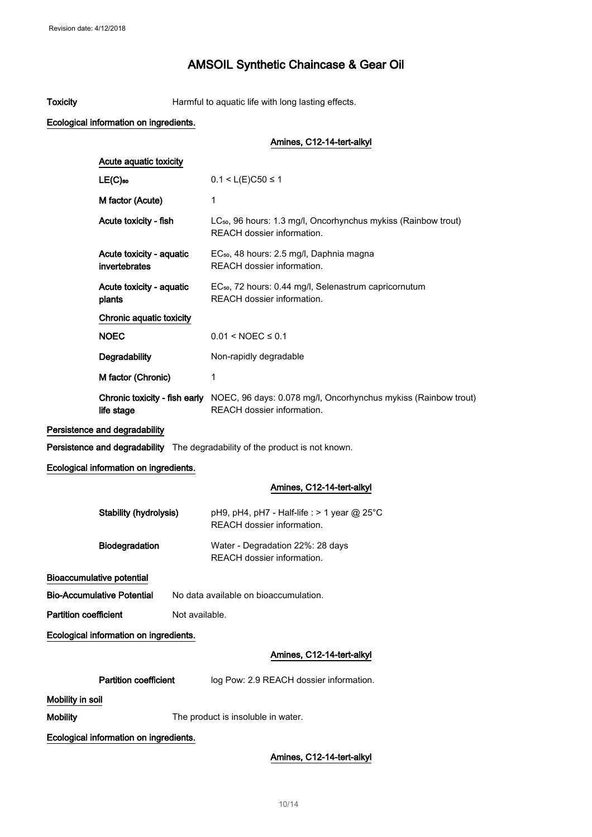Toxicity **Harmful to aquatic life with long lasting effects.** 

#### Ecological information on ingredients.

| Acute aquatic toxicity                    |                                                                                                                                   |
|-------------------------------------------|-----------------------------------------------------------------------------------------------------------------------------------|
| $LE(C)$ 50                                | $0.1 < L(E)C50 \le 1$                                                                                                             |
| M factor (Acute)                          | 1                                                                                                                                 |
| Acute toxicity - fish                     | LC <sub>50</sub> , 96 hours: 1.3 mg/l, Oncorhynchus mykiss (Rainbow trout)<br>REACH dossier information.                          |
| Acute toxicity - aquatic<br>invertebrates | EC <sub>50</sub> , 48 hours: 2.5 mg/l, Daphnia magna<br>REACH dossier information.                                                |
| Acute toxicity - aquatic<br>plants        | EC <sub>50</sub> , 72 hours: 0.44 mg/l, Selenastrum capricornutum<br>REACH dossier information.                                   |
| Chronic aquatic toxicity                  |                                                                                                                                   |
| <b>NOEC</b>                               | $0.01 < NOEC \le 0.1$                                                                                                             |
| Degradability                             | Non-rapidly degradable                                                                                                            |
| M factor (Chronic)                        | 1                                                                                                                                 |
| life stage                                | <b>Chronic toxicity - fish early</b> NOEC, 96 days: 0.078 mg/l, Oncorhynchus mykiss (Rainbow trout)<br>REACH dossier information. |
|                                           |                                                                                                                                   |

Persistence and degradability

Persistence and degradability The degradability of the product is not known.

Ecological information on ingredients.

#### Amines, C12-14-tert-alkyl

| Stability (hydrolysis) | pH9, pH4, pH7 - Half-life : $>$ 1 year @ 25°C<br>REACH dossier information. |
|------------------------|-----------------------------------------------------------------------------|
| <b>Biodegradation</b>  | Water - Degradation 22%: 28 days<br>REACH dossier information.              |

Bioaccumulative potential

Bio-Accumulative Potential No data available on bioaccumulation.

Partition coefficient Not available.

Ecological information on ingredients.

Amines, C12-14-tert-alkyl

Partition coefficient log Pow: 2.9 REACH dossier information.

Mobility in soil

Mobility The product is insoluble in water.

Ecological information on ingredients.

Amines, C12-14-tert-alkyl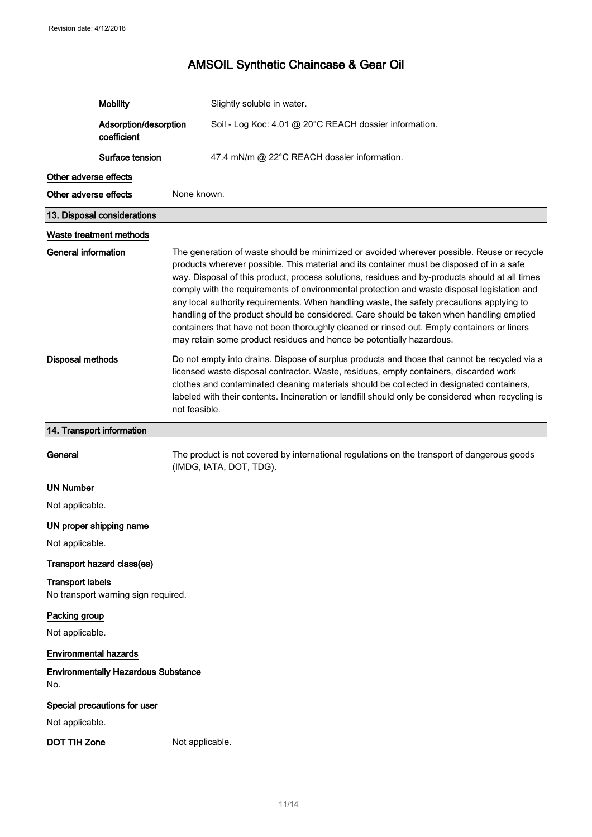|                                      | <b>Mobility</b>                            |               | Slightly soluble in water.                                                                                                                                                                                                                                                                                                                                                                                                                                                                                                                                                                                                                                                                                                                              |  |
|--------------------------------------|--------------------------------------------|---------------|---------------------------------------------------------------------------------------------------------------------------------------------------------------------------------------------------------------------------------------------------------------------------------------------------------------------------------------------------------------------------------------------------------------------------------------------------------------------------------------------------------------------------------------------------------------------------------------------------------------------------------------------------------------------------------------------------------------------------------------------------------|--|
| Adsorption/desorption<br>coefficient |                                            |               | Soil - Log Koc: 4.01 @ 20°C REACH dossier information.                                                                                                                                                                                                                                                                                                                                                                                                                                                                                                                                                                                                                                                                                                  |  |
|                                      | Surface tension                            |               | 47.4 mN/m @ 22°C REACH dossier information.                                                                                                                                                                                                                                                                                                                                                                                                                                                                                                                                                                                                                                                                                                             |  |
| Other adverse effects                |                                            |               |                                                                                                                                                                                                                                                                                                                                                                                                                                                                                                                                                                                                                                                                                                                                                         |  |
| Other adverse effects                |                                            | None known.   |                                                                                                                                                                                                                                                                                                                                                                                                                                                                                                                                                                                                                                                                                                                                                         |  |
|                                      | 13. Disposal considerations                |               |                                                                                                                                                                                                                                                                                                                                                                                                                                                                                                                                                                                                                                                                                                                                                         |  |
|                                      | Waste treatment methods                    |               |                                                                                                                                                                                                                                                                                                                                                                                                                                                                                                                                                                                                                                                                                                                                                         |  |
| <b>General information</b>           |                                            |               | The generation of waste should be minimized or avoided wherever possible. Reuse or recycle<br>products wherever possible. This material and its container must be disposed of in a safe<br>way. Disposal of this product, process solutions, residues and by-products should at all times<br>comply with the requirements of environmental protection and waste disposal legislation and<br>any local authority requirements. When handling waste, the safety precautions applying to<br>handling of the product should be considered. Care should be taken when handling emptied<br>containers that have not been thoroughly cleaned or rinsed out. Empty containers or liners<br>may retain some product residues and hence be potentially hazardous. |  |
| <b>Disposal methods</b>              |                                            | not feasible. | Do not empty into drains. Dispose of surplus products and those that cannot be recycled via a<br>licensed waste disposal contractor. Waste, residues, empty containers, discarded work<br>clothes and contaminated cleaning materials should be collected in designated containers,<br>labeled with their contents. Incineration or landfill should only be considered when recycling is                                                                                                                                                                                                                                                                                                                                                                |  |
|                                      | 14. Transport information                  |               |                                                                                                                                                                                                                                                                                                                                                                                                                                                                                                                                                                                                                                                                                                                                                         |  |
| General                              |                                            |               | The product is not covered by international regulations on the transport of dangerous goods<br>(IMDG, IATA, DOT, TDG).                                                                                                                                                                                                                                                                                                                                                                                                                                                                                                                                                                                                                                  |  |
| <b>UN Number</b>                     |                                            |               |                                                                                                                                                                                                                                                                                                                                                                                                                                                                                                                                                                                                                                                                                                                                                         |  |
| Not applicable.                      |                                            |               |                                                                                                                                                                                                                                                                                                                                                                                                                                                                                                                                                                                                                                                                                                                                                         |  |
| Not applicable.                      | UN proper shipping name                    |               |                                                                                                                                                                                                                                                                                                                                                                                                                                                                                                                                                                                                                                                                                                                                                         |  |
|                                      | Transport hazard class(es)                 |               |                                                                                                                                                                                                                                                                                                                                                                                                                                                                                                                                                                                                                                                                                                                                                         |  |
| <b>Transport labels</b>              | No transport warning sign required.        |               |                                                                                                                                                                                                                                                                                                                                                                                                                                                                                                                                                                                                                                                                                                                                                         |  |
| Packing group                        |                                            |               |                                                                                                                                                                                                                                                                                                                                                                                                                                                                                                                                                                                                                                                                                                                                                         |  |
| Not applicable.                      |                                            |               |                                                                                                                                                                                                                                                                                                                                                                                                                                                                                                                                                                                                                                                                                                                                                         |  |
| <b>Environmental hazards</b>         |                                            |               |                                                                                                                                                                                                                                                                                                                                                                                                                                                                                                                                                                                                                                                                                                                                                         |  |
| No.                                  | <b>Environmentally Hazardous Substance</b> |               |                                                                                                                                                                                                                                                                                                                                                                                                                                                                                                                                                                                                                                                                                                                                                         |  |
|                                      | Special precautions for user               |               |                                                                                                                                                                                                                                                                                                                                                                                                                                                                                                                                                                                                                                                                                                                                                         |  |
| Not applicable.                      |                                            |               |                                                                                                                                                                                                                                                                                                                                                                                                                                                                                                                                                                                                                                                                                                                                                         |  |

DOT TIH Zone Not applicable.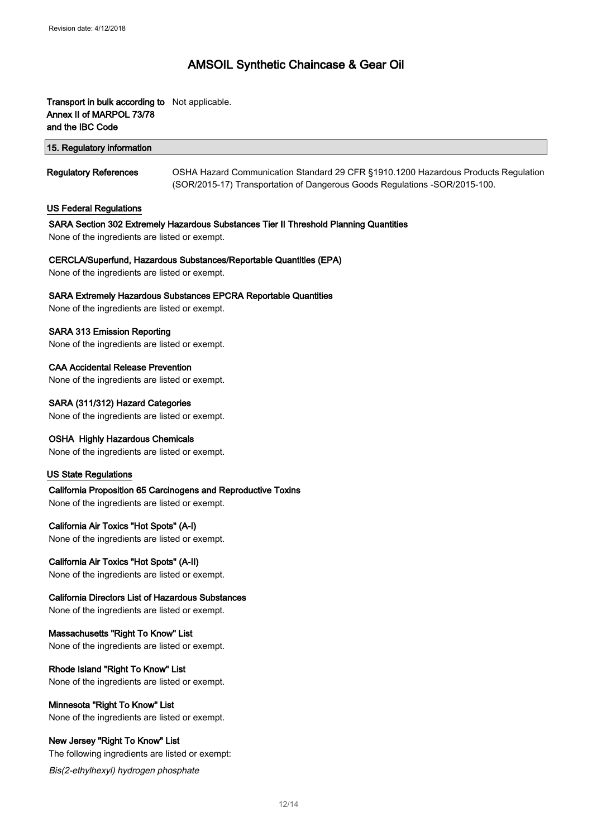### Transport in bulk according to Not applicable. Annex II of MARPOL 73/78 and the IBC Code

| 15. Regulatory information   |                                                                                    |
|------------------------------|------------------------------------------------------------------------------------|
| <b>Regulatory References</b> | OSHA Hazard Communication Standard 29 CFR §1910.1200 Hazardous Products Regulation |
|                              | (SOR/2015-17) Transportation of Dangerous Goods Regulations -SOR/2015-100.         |

### US Federal Regulations

#### SARA Section 302 Extremely Hazardous Substances Tier II Threshold Planning Quantities

None of the ingredients are listed or exempt.

#### CERCLA/Superfund, Hazardous Substances/Reportable Quantities (EPA)

None of the ingredients are listed or exempt.

#### SARA Extremely Hazardous Substances EPCRA Reportable Quantities

None of the ingredients are listed or exempt.

#### SARA 313 Emission Reporting

None of the ingredients are listed or exempt.

CAA Accidental Release Prevention

None of the ingredients are listed or exempt.

#### SARA (311/312) Hazard Categories

None of the ingredients are listed or exempt.

#### OSHA Highly Hazardous Chemicals

None of the ingredients are listed or exempt.

#### US State Regulations

### California Proposition 65 Carcinogens and Reproductive Toxins

None of the ingredients are listed or exempt.

#### California Air Toxics "Hot Spots" (A-I)

None of the ingredients are listed or exempt.

#### California Air Toxics "Hot Spots" (A-II)

None of the ingredients are listed or exempt.

#### California Directors List of Hazardous Substances

None of the ingredients are listed or exempt.

### Massachusetts "Right To Know" List None of the ingredients are listed or exempt.

#### Rhode Island "Right To Know" List None of the ingredients are listed or exempt.

## Minnesota "Right To Know" List

None of the ingredients are listed or exempt.

### New Jersey "Right To Know" List

The following ingredients are listed or exempt:

Bis(2-ethylhexyl) hydrogen phosphate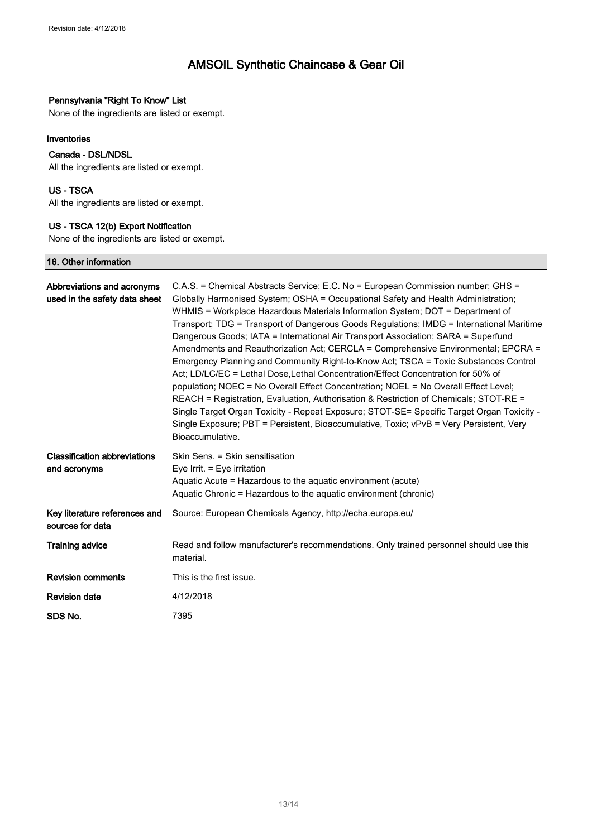### Pennsylvania "Right To Know" List

None of the ingredients are listed or exempt.

### Inventories

#### Canada - DSL/NDSL

All the ingredients are listed or exempt.

### US - TSCA

All the ingredients are listed or exempt.

### US - TSCA 12(b) Export Notification

None of the ingredients are listed or exempt.

### 16. Other information

| Abbreviations and acronyms<br>used in the safety data sheet | C.A.S. = Chemical Abstracts Service; E.C. No = European Commission number; GHS =<br>Globally Harmonised System; OSHA = Occupational Safety and Health Administration;<br>WHMIS = Workplace Hazardous Materials Information System; DOT = Department of<br>Transport; TDG = Transport of Dangerous Goods Regulations; IMDG = International Maritime<br>Dangerous Goods; IATA = International Air Transport Association; SARA = Superfund<br>Amendments and Reauthorization Act: CERCLA = Comprehensive Environmental: EPCRA =<br>Emergency Planning and Community Right-to-Know Act; TSCA = Toxic Substances Control<br>Act: LD/LC/EC = Lethal Dose, Lethal Concentration/Effect Concentration for 50% of<br>population; NOEC = No Overall Effect Concentration; NOEL = No Overall Effect Level;<br>REACH = Registration, Evaluation, Authorisation & Restriction of Chemicals; STOT-RE =<br>Single Target Organ Toxicity - Repeat Exposure; STOT-SE= Specific Target Organ Toxicity -<br>Single Exposure; PBT = Persistent, Bioaccumulative, Toxic; vPvB = Very Persistent, Very<br>Bioaccumulative. |
|-------------------------------------------------------------|------------------------------------------------------------------------------------------------------------------------------------------------------------------------------------------------------------------------------------------------------------------------------------------------------------------------------------------------------------------------------------------------------------------------------------------------------------------------------------------------------------------------------------------------------------------------------------------------------------------------------------------------------------------------------------------------------------------------------------------------------------------------------------------------------------------------------------------------------------------------------------------------------------------------------------------------------------------------------------------------------------------------------------------------------------------------------------------------------|
| <b>Classification abbreviations</b><br>and acronyms         | Skin Sens. = Skin sensitisation<br>Eve Irrit. $=$ Eve irritation<br>Aquatic Acute = Hazardous to the aquatic environment (acute)<br>Aquatic Chronic = Hazardous to the aquatic environment (chronic)                                                                                                                                                                                                                                                                                                                                                                                                                                                                                                                                                                                                                                                                                                                                                                                                                                                                                                 |
| Key literature references and<br>sources for data           | Source: European Chemicals Agency, http://echa.europa.eu/                                                                                                                                                                                                                                                                                                                                                                                                                                                                                                                                                                                                                                                                                                                                                                                                                                                                                                                                                                                                                                            |
| <b>Training advice</b>                                      | Read and follow manufacturer's recommendations. Only trained personnel should use this<br>material.                                                                                                                                                                                                                                                                                                                                                                                                                                                                                                                                                                                                                                                                                                                                                                                                                                                                                                                                                                                                  |
| <b>Revision comments</b>                                    | This is the first issue.                                                                                                                                                                                                                                                                                                                                                                                                                                                                                                                                                                                                                                                                                                                                                                                                                                                                                                                                                                                                                                                                             |
| <b>Revision date</b>                                        | 4/12/2018                                                                                                                                                                                                                                                                                                                                                                                                                                                                                                                                                                                                                                                                                                                                                                                                                                                                                                                                                                                                                                                                                            |
| SDS No.                                                     | 7395                                                                                                                                                                                                                                                                                                                                                                                                                                                                                                                                                                                                                                                                                                                                                                                                                                                                                                                                                                                                                                                                                                 |